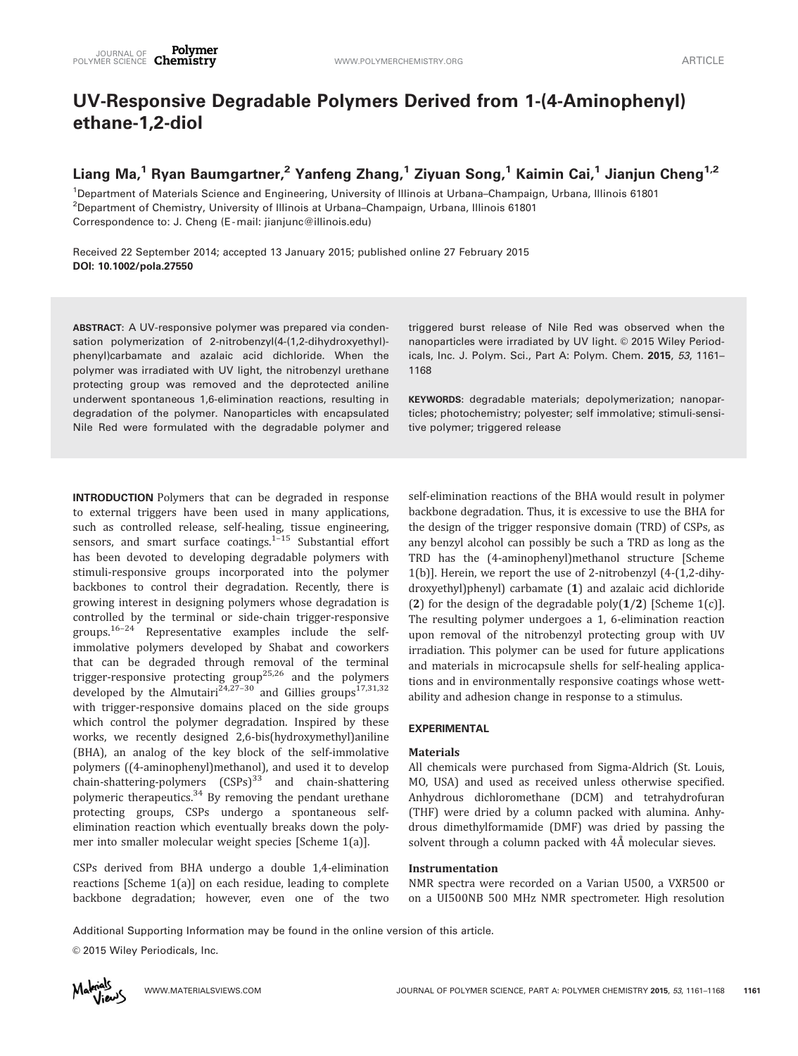# UV-Responsive Degradable Polymers Derived from 1-(4-Aminophenyl) ethane-1,2-diol

## Liang Ma,<sup>1</sup> Ryan Baumgartner,<sup>2</sup> Yanfeng Zhang,<sup>1</sup> Ziyuan Song,<sup>1</sup> Kaimin Cai,<sup>1</sup> Jianjun Cheng<sup>1,2</sup>

1 Department of Materials Science and Engineering, University of Illinois at Urbana–Champaign, Urbana, Illinois 61801 <sup>2</sup>Department of Chemistry, University of Illinois at Urbana–Champaign, Urbana, Illinois 61801 Correspondence to: J. Cheng (E -mail: jianjunc@illinois.edu)

Received 22 September 2014; accepted 13 January 2015; published online 27 February 2015 DOI: 10.1002/pola.27550

ABSTRACT: A UV-responsive polymer was prepared via condensation polymerization of 2-nitrobenzyl(4-(1,2-dihydroxyethyl) phenyl)carbamate and azalaic acid dichloride. When the polymer was irradiated with UV light, the nitrobenzyl urethane protecting group was removed and the deprotected aniline underwent spontaneous 1,6-elimination reactions, resulting in degradation of the polymer. Nanoparticles with encapsulated Nile Red were formulated with the degradable polymer and triggered burst release of Nile Red was observed when the nanoparticles were irradiated by UV light. © 2015 Wiley Periodicals, Inc. J. Polym. Sci., Part A: Polym. Chem. 2015, 53, 1161– 1168

KEYWORDS: degradable materials; depolymerization; nanoparticles; photochemistry; polyester; self immolative; stimuli-sensitive polymer; triggered release

INTRODUCTION Polymers that can be degraded in response to external triggers have been used in many applications, such as controlled release, self-healing, tissue engineering, sensors, and smart surface coatings.<sup>1-15</sup> Substantial effort has been devoted to developing degradable polymers with stimuli-responsive groups incorporated into the polymer backbones to control their degradation. Recently, there is growing interest in designing polymers whose degradation is controlled by the terminal or side-chain trigger-responsive groups.16–24 Representative examples include the selfimmolative polymers developed by Shabat and coworkers that can be degraded through removal of the terminal trigger-responsive protecting group25,26 and the polymers developed by the Almutairi<sup>24,27–30</sup> and Gillies groups<sup>17,31,32</sup> with trigger-responsive domains placed on the side groups which control the polymer degradation. Inspired by these works, we recently designed 2,6-bis(hydroxymethyl)aniline (BHA), an analog of the key block of the self-immolative polymers ((4-aminophenyl)methanol), and used it to develop chain-shattering-polymers  $(CSPs)^{33}$  and chain-shattering polymeric therapeutics. $34$  By removing the pendant urethane protecting groups, CSPs undergo a spontaneous selfelimination reaction which eventually breaks down the polymer into smaller molecular weight species [Scheme 1(a)].

CSPs derived from BHA undergo a double 1,4-elimination reactions [Scheme 1(a)] on each residue, leading to complete backbone degradation; however, even one of the two

self-elimination reactions of the BHA would result in polymer backbone degradation. Thus, it is excessive to use the BHA for the design of the trigger responsive domain (TRD) of CSPs, as any benzyl alcohol can possibly be such a TRD as long as the TRD has the (4-aminophenyl)methanol structure [Scheme 1(b)]. Herein, we report the use of 2-nitrobenzyl (4-(1,2-dihydroxyethyl)phenyl) carbamate (1) and azalaic acid dichloride (2) for the design of the degradable poly $(1/2)$  [Scheme 1(c)]. The resulting polymer undergoes a 1, 6-elimination reaction upon removal of the nitrobenzyl protecting group with UV irradiation. This polymer can be used for future applications and materials in microcapsule shells for self-healing applications and in environmentally responsive coatings whose wettability and adhesion change in response to a stimulus.

#### EXPERIMENTAL

#### Materials

All chemicals were purchased from Sigma-Aldrich (St. Louis, MO, USA) and used as received unless otherwise specified. Anhydrous dichloromethane (DCM) and tetrahydrofuran (THF) were dried by a column packed with alumina. Anhydrous dimethylformamide (DMF) was dried by passing the solvent through a column packed with 4Å molecular sieves.

#### Instrumentation

NMR spectra were recorded on a Varian U500, a VXR500 or on a UI500NB 500 MHz NMR spectrometer. High resolution

Additional Supporting Information may be found in the online version of this article.

© 2015 Wiley Periodicals, Inc.

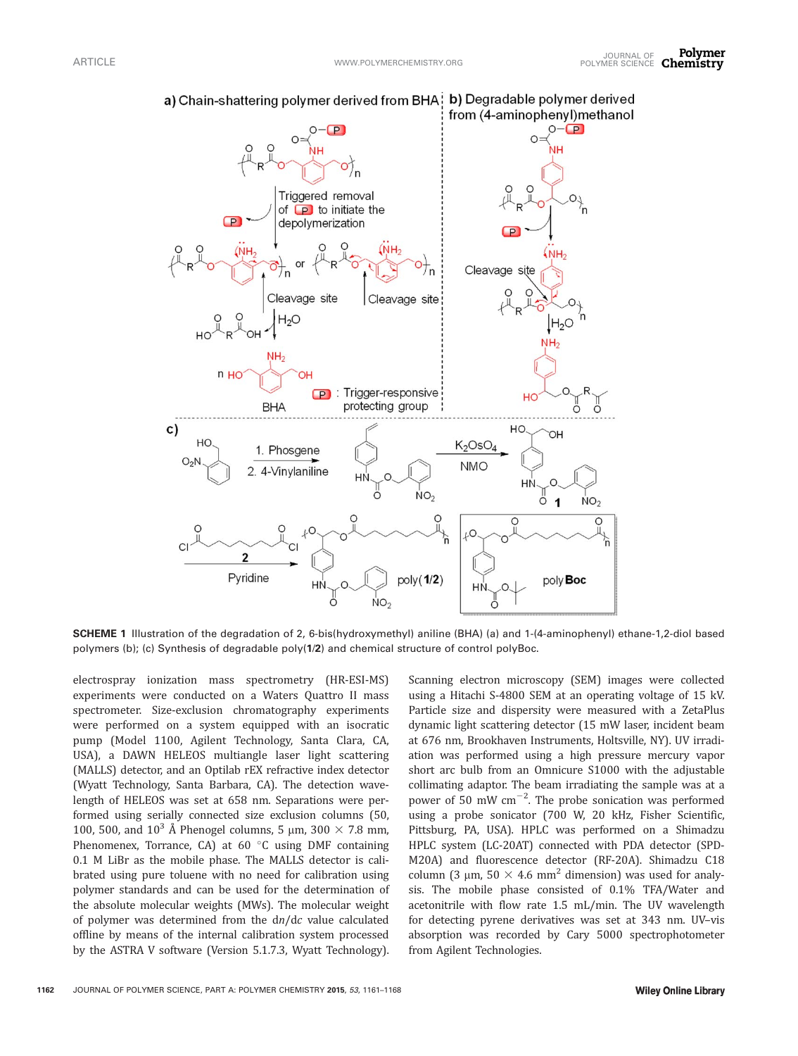

a) Chain-shattering polymer derived from BHA b) Degradable polymer derived

SCHEME 1 Illustration of the degradation of 2, 6-bis(hydroxymethyl) aniline (BHA) (a) and 1-(4-aminophenyl) ethane-1,2-diol based polymers (b); (c) Synthesis of degradable poly(1/2) and chemical structure of control polyBoc.

electrospray ionization mass spectrometry (HR-ESI-MS) experiments were conducted on a Waters Quattro II mass spectrometer. Size-exclusion chromatography experiments were performed on a system equipped with an isocratic pump (Model 1100, Agilent Technology, Santa Clara, CA, USA), a DAWN HELEOS multiangle laser light scattering (MALLS) detector, and an Optilab rEX refractive index detector (Wyatt Technology, Santa Barbara, CA). The detection wavelength of HELEOS was set at 658 nm. Separations were performed using serially connected size exclusion columns (50, 100, 500, and 10<sup>3</sup> Å Phenogel columns, 5 µm, 300  $\times$  7.8 mm, Phenomenex, Torrance, CA) at  $60 °C$  using DMF containing 0.1 M LiBr as the mobile phase. The MALLS detector is calibrated using pure toluene with no need for calibration using polymer standards and can be used for the determination of the absolute molecular weights (MWs). The molecular weight of polymer was determined from the dn/dc value calculated offline by means of the internal calibration system processed by the ASTRA V software (Version 5.1.7.3, Wyatt Technology). Scanning electron microscopy (SEM) images were collected using a Hitachi S-4800 SEM at an operating voltage of 15 kV. Particle size and dispersity were measured with a ZetaPlus dynamic light scattering detector (15 mW laser, incident beam at 676 nm, Brookhaven Instruments, Holtsville, NY). UV irradiation was performed using a high pressure mercury vapor short arc bulb from an Omnicure S1000 with the adjustable collimating adaptor. The beam irradiating the sample was at a power of 50 mW  $\text{cm}^{-2}$ . The probe sonication was performed using a probe sonicator (700 W, 20 kHz, Fisher Scientific, Pittsburg, PA, USA). HPLC was performed on a Shimadzu HPLC system (LC-20AT) connected with PDA detector (SPD-M20A) and fluorescence detector (RF-20A). Shimadzu C18 column (3  $\mu$ m, 50  $\times$  4.6 mm<sup>2</sup> dimension) was used for analysis. The mobile phase consisted of 0.1% TFA/Water and acetonitrile with flow rate 1.5 mL/min. The UV wavelength for detecting pyrene derivatives was set at 343 nm. UV–vis absorption was recorded by Cary 5000 spectrophotometer from Agilent Technologies.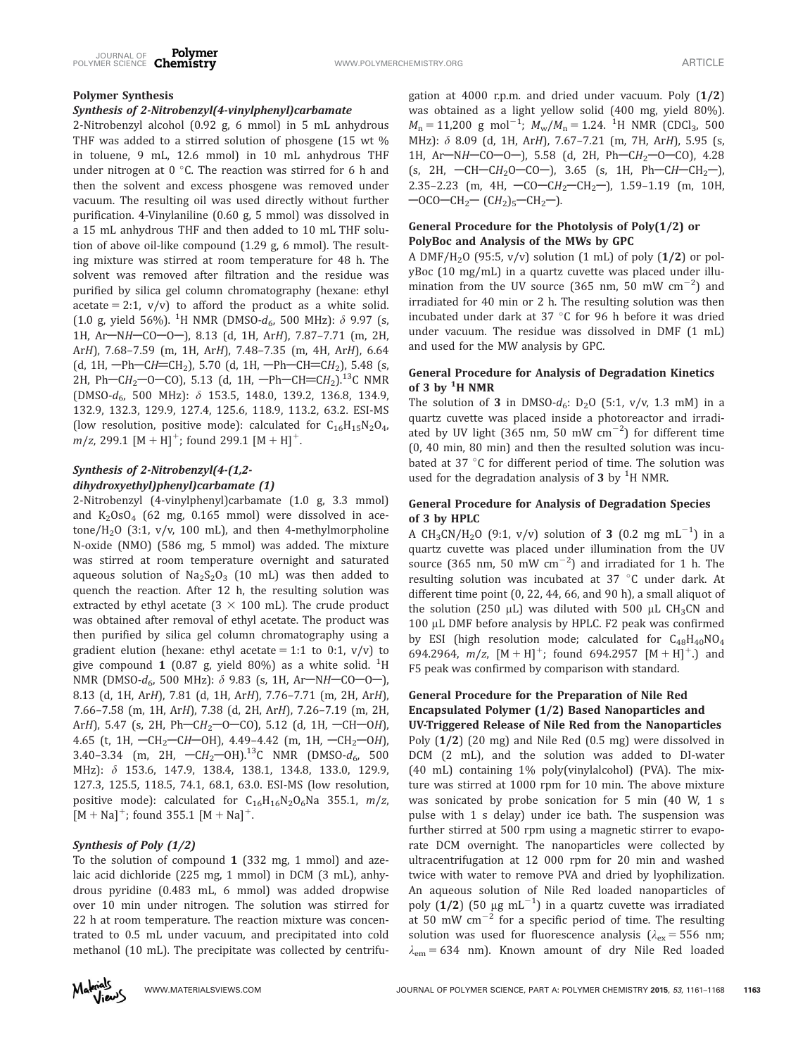## Polymer Synthesis

#### Synthesis of 2-Nitrobenzyl(4-vinylphenyl)carbamate

2-Nitrobenzyl alcohol (0.92 g, 6 mmol) in 5 mL anhydrous THF was added to a stirred solution of phosgene (15 wt % in toluene, 9 mL, 12.6 mmol) in 10 mL anhydrous THF under nitrogen at  $0 °C$ . The reaction was stirred for 6 h and then the solvent and excess phosgene was removed under vacuum. The resulting oil was used directly without further purification. 4-Vinylaniline (0.60 g, 5 mmol) was dissolved in a 15 mL anhydrous THF and then added to 10 mL THF solution of above oil-like compound (1.29 g, 6 mmol). The resulting mixture was stirred at room temperature for 48 h. The solvent was removed after filtration and the residue was purified by silica gel column chromatography (hexane: ethyl acetate = 2:1,  $v/v$ ) to afford the product as a white solid. (1.0 g, yield 56%). <sup>1</sup>H NMR (DMSO- $d_6$ , 500 MHz):  $\delta$  9.97 (s, 1H, Ar-NH-CO-O-), 8.13 (d, 1H, ArH), 7.87-7.71 (m, 2H, ArH), 7.68–7.59 (m, 1H, ArH), 7.48–7.35 (m, 4H, ArH), 6.64 (d, 1H,  $-Ph-CH=CH_2$ ), 5.70 (d, 1H,  $-Ph-CH=CH_2$ ), 5.48 (s, 2H, Ph-CH<sub>2</sub>-O-CO), 5.13 (d, 1H, -Ph-CH=CH<sub>2</sub>).<sup>13</sup>C NMR (DMSO-d6, 500 MHz): d 153.5, 148.0, 139.2, 136.8, 134.9, 132.9, 132.3, 129.9, 127.4, 125.6, 118.9, 113.2, 63.2. ESI-MS (low resolution, positive mode): calculated for  $C_{16}H_{15}N_2O_4$ ,  $m/z$ , 299.1 [M + H]<sup>+</sup>; found 299.1 [M + H]<sup>+</sup>.

## Synthesis of 2-Nitrobenzyl(4-(1,2 dihydroxyethyl)phenyl)carbamate (1)

2-Nitrobenzyl (4-vinylphenyl)carbamate (1.0 g, 3.3 mmol) and  $K_2OsO_4$  (62 mg, 0.165 mmol) were dissolved in acetone/H<sub>2</sub>O (3:1,  $v/v$ , 100 mL), and then 4-methylmorpholine N-oxide (NMO) (586 mg, 5 mmol) was added. The mixture was stirred at room temperature overnight and saturated aqueous solution of  $Na<sub>2</sub>S<sub>2</sub>O<sub>3</sub>$  (10 mL) was then added to quench the reaction. After 12 h, the resulting solution was extracted by ethyl acetate  $(3 \times 100 \text{ mL})$ . The crude product was obtained after removal of ethyl acetate. The product was then purified by silica gel column chromatography using a gradient elution (hexane: ethyl acetate = 1:1 to 0:1,  $v/v$ ) to give compound  $\bm{1}$  (0.87 g, yield 80%) as a white solid.  $^{1} \text{H}$ NMR (DMSO- $d_6$ , 500 MHz):  $\delta$  9.83 (s, 1H, Ar-NH-CO-O-), 8.13 (d, 1H, ArH), 7.81 (d, 1H, ArH), 7.76–7.71 (m, 2H, ArH), 7.66–7.58 (m, 1H, ArH), 7.38 (d, 2H, ArH), 7.26–7.19 (m, 2H, ArH), 5.47 (s, 2H, Ph- $CH_2$ -O-CO), 5.12 (d, 1H, -CH-OH), 4.65 (t, 1H,  $-CH_2-CH-OH$ ), 4.49-4.42 (m, 1H,  $-CH_2-OH$ ), 3.40–3.34 (m, 2H,  $\text{C}H_2$ –OH).<sup>13</sup>C NMR (DMSO- $d_6$ , 500 MHz):  $\delta$  153.6, 147.9, 138.4, 138.1, 134.8, 133.0, 129.9, 127.3, 125.5, 118.5, 74.1, 68.1, 63.0. ESI-MS (low resolution, positive mode): calculated for  $C_{16}H_{16}N_2O_6$ Na 355.1,  $m/z$ ,  $[M + Na]$ <sup>+</sup>; found 355.1  $[M + Na]$ <sup>+</sup>.

## Synthesis of Poly (1/2)

To the solution of compound 1 (332 mg, 1 mmol) and azelaic acid dichloride (225 mg, 1 mmol) in DCM (3 mL), anhydrous pyridine (0.483 mL, 6 mmol) was added dropwise over 10 min under nitrogen. The solution was stirred for 22 h at room temperature. The reaction mixture was concentrated to 0.5 mL under vacuum, and precipitated into cold methanol (10 mL). The precipitate was collected by centrifu-

gation at 4000 r.p.m. and dried under vacuum. Poly  $(1/2)$ was obtained as a light yellow solid (400 mg, yield 80%).  $M_{\rm n} = 11{,}200$  g mol<sup>-1</sup>;  $M_{\rm w}/M_{\rm n} = 1.24$ . <sup>1</sup>H NMR (CDCl<sub>3</sub>, 500 MHz): δ 8.09 (d, 1H, ArH), 7.67-7.21 (m, 7H, ArH), 5.95 (s, 1H, Ar-NH-CO-O-), 5.58 (d, 2H, Ph-CH<sub>2</sub>-O-CO), 4.28 (s, 2H,  $-CH-CH_2O-CO-$ ), 3.65 (s, 1H, Ph $-CH-CH_2-$ ), 2.35–2.23 (m, 4H,  $-CO - CH_2 - CH_2$ ), 1.59–1.19 (m, 10H,  $-OCO - CH_2 - (CH_2)_5 - CH_2$ .

## General Procedure for the Photolysis of Poly(1/2) or PolyBoc and Analysis of the MWs by GPC

A DMF/H<sub>2</sub>O (95:5,  $v/v$ ) solution (1 mL) of poly (1/2) or polyBoc (10 mg/mL) in a quartz cuvette was placed under illumination from the UV source (365 nm, 50 mW  $\rm cm^{-2})$  and irradiated for 40 min or 2 h. The resulting solution was then incubated under dark at 37  $^{\circ}$ C for 96 h before it was dried under vacuum. The residue was dissolved in DMF (1 mL) and used for the MW analysis by GPC.

## General Procedure for Analysis of Degradation Kinetics of 3 by <sup>1</sup>H NMR

The solution of 3 in DMSO- $d_6$ : D<sub>2</sub>O (5:1, v/v, 1.3 mM) in a quartz cuvette was placed inside a photoreactor and irradiated by UV light (365 nm, 50 mW  $\rm cm^{-2})$  for different time (0, 40 min, 80 min) and then the resulted solution was incubated at 37 °C for different period of time. The solution was used for the degradation analysis of  $3$  by <sup>1</sup>H NMR.

### General Procedure for Analysis of Degradation Species of 3 by HPLC

A CH<sub>3</sub>CN/H<sub>2</sub>O (9:1, v/v) solution of 3 (0.2 mg mL $^{-1}$ ) in a quartz cuvette was placed under illumination from the UV source (365 nm, 50 mW  $\rm cm^{-2})$  and irradiated for 1 h. The resulting solution was incubated at 37 °C under dark. At different time point (0, 22, 44, 66, and 90 h), a small aliquot of the solution (250  $\mu$ L) was diluted with 500  $\mu$ L CH<sub>3</sub>CN and 100 µL DMF before analysis by HPLC. F2 peak was confirmed by ESI (high resolution mode; calculated for  $C_{48}H_{40}NO_4$ 694.2964,  $m/z$ ,  $[M + H]^+$ ; found 694.2957  $[M + H]^+$ .) and F5 peak was confirmed by comparison with standard.

## General Procedure for the Preparation of Nile Red Encapsulated Polymer (1/2) Based Nanoparticles and

UV-Triggered Release of Nile Red from the Nanoparticles Poly (1/2) (20 mg) and Nile Red (0.5 mg) were dissolved in DCM (2 mL), and the solution was added to DI-water (40 mL) containing 1% poly(vinylalcohol) (PVA). The mixture was stirred at 1000 rpm for 10 min. The above mixture was sonicated by probe sonication for 5 min (40 W, 1 s pulse with 1 s delay) under ice bath. The suspension was further stirred at 500 rpm using a magnetic stirrer to evaporate DCM overnight. The nanoparticles were collected by ultracentrifugation at 12 000 rpm for 20 min and washed twice with water to remove PVA and dried by lyophilization. An aqueous solution of Nile Red loaded nanoparticles of poly  $(1/2)$   $(50 \text{ }\mu\text{g }\text{mL}^{-1})$  in a quartz cuvette was irradiated at 50 mW  $\text{cm}^{-2}$  for a specific period of time. The resulting solution was used for fluorescence analysis ( $\lambda_{ex}$  = 556 nm;  $\lambda_{em}$  = 634 nm). Known amount of dry Nile Red loaded

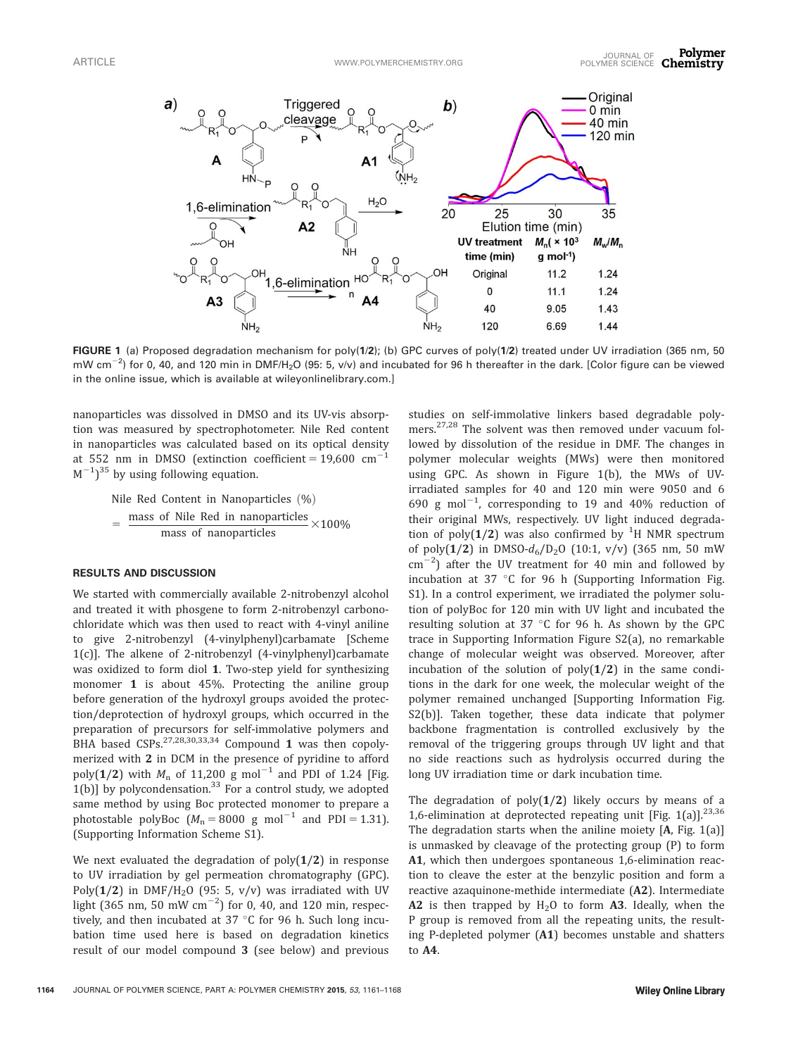

FIGURE 1 (a) Proposed degradation mechanism for poly(1/2); (b) GPC curves of poly(1/2) treated under UV irradiation (365 nm, 50 mW cm<sup>-2</sup>) for 0, 40, and 120 min in DMF/H<sub>2</sub>O (95: 5, v/v) and incubated for 96 h thereafter in the dark. [Color figure can be viewed in the online issue, which is available at [wileyonlinelibrary.com.](http://wileyonlinelibrary.com)]

nanoparticles was dissolved in DMSO and its UV-vis absorption was measured by spectrophotometer. Nile Red content in nanoparticles was calculated based on its optical density at 552 nm in DMSO (extinction coefficient =  $19,600$  cm<sup>-1</sup>  $(M^{-1})^{35}$  by using following equation.

> Nile Red Content in Nanoparticles  $(\% )$ - mass of Nile Red in nanoparticles mass of nanoparticles  $\times$ 100%

#### RESULTS AND DISCUSSION

We started with commercially available 2-nitrobenzyl alcohol and treated it with phosgene to form 2-nitrobenzyl carbonochloridate which was then used to react with 4-vinyl aniline to give 2-nitrobenzyl (4-vinylphenyl)carbamate [Scheme 1(c)]. The alkene of 2-nitrobenzyl (4-vinylphenyl)carbamate was oxidized to form diol 1. Two-step yield for synthesizing monomer 1 is about 45%. Protecting the aniline group before generation of the hydroxyl groups avoided the protection/deprotection of hydroxyl groups, which occurred in the preparation of precursors for self-immolative polymers and BHA based  $CSPs$ <sup>27,28,30,33,34</sup> Compound 1 was then copolymerized with 2 in DCM in the presence of pyridine to afford poly(1/2) with  $M_n$  of 11,200 g mol<sup>-1</sup> and PDI of 1.24 [Fig.  $1(b)$ ] by polycondensation. $33$  For a control study, we adopted same method by using Boc protected monomer to prepare a photostable polyBoc  $(M_n = 8000 \text{ g mol}^{-1}$  and PDI = 1.31). (Supporting Information Scheme S1).

We next evaluated the degradation of  $poly(1/2)$  in response to UV irradiation by gel permeation chromatography (GPC). Poly( $1/2$ ) in DMF/H<sub>2</sub>O (95: 5, v/v) was irradiated with UV light (365 nm, 50 mW  $\text{cm}^{-2}$ ) for 0, 40, and 120 min, respectively, and then incubated at  $37 °C$  for 96 h. Such long incubation time used here is based on degradation kinetics result of our model compound 3 (see below) and previous

studies on self-immolative linkers based degradable polymers.27,28 The solvent was then removed under vacuum followed by dissolution of the residue in DMF. The changes in polymer molecular weights (MWs) were then monitored using GPC. As shown in Figure 1(b), the MWs of UVirradiated samples for 40 and 120 min were 9050 and 6 690 g mol<sup>-1</sup>, corresponding to 19 and 40% reduction of their original MWs, respectively. UV light induced degradation of poly $(1/2)$  was also confirmed by  $^1\mathrm H$  NMR spectrum of poly(1/2) in DMSO- $d_6/D_2O$  (10:1, v/v) (365 nm, 50 mW  $\text{cm}^{-2}$ ) after the UV treatment for 40 min and followed by incubation at 37 $\degree$ C for 96 h (Supporting Information Fig. S1). In a control experiment, we irradiated the polymer solution of polyBoc for 120 min with UV light and incubated the resulting solution at  $37 °C$  for 96 h. As shown by the GPC trace in Supporting Information Figure S2(a), no remarkable change of molecular weight was observed. Moreover, after incubation of the solution of  $poly(1/2)$  in the same conditions in the dark for one week, the molecular weight of the polymer remained unchanged [Supporting Information Fig. S2(b)]. Taken together, these data indicate that polymer backbone fragmentation is controlled exclusively by the removal of the triggering groups through UV light and that no side reactions such as hydrolysis occurred during the long UV irradiation time or dark incubation time.

The degradation of  $poly(1/2)$  likely occurs by means of a 1,6-elimination at deprotected repeating unit [Fig. 1(a)]. $^{23,36}$ The degradation starts when the aniline moiety  $[A, Fig. 1(a)]$ is unmasked by cleavage of the protecting group (P) to form A1, which then undergoes spontaneous 1,6-elimination reaction to cleave the ester at the benzylic position and form a reactive azaquinone-methide intermediate (A2). Intermediate A2 is then trapped by  $H_2O$  to form A3. Ideally, when the P group is removed from all the repeating units, the resulting P-depleted polymer (A1) becomes unstable and shatters to A4.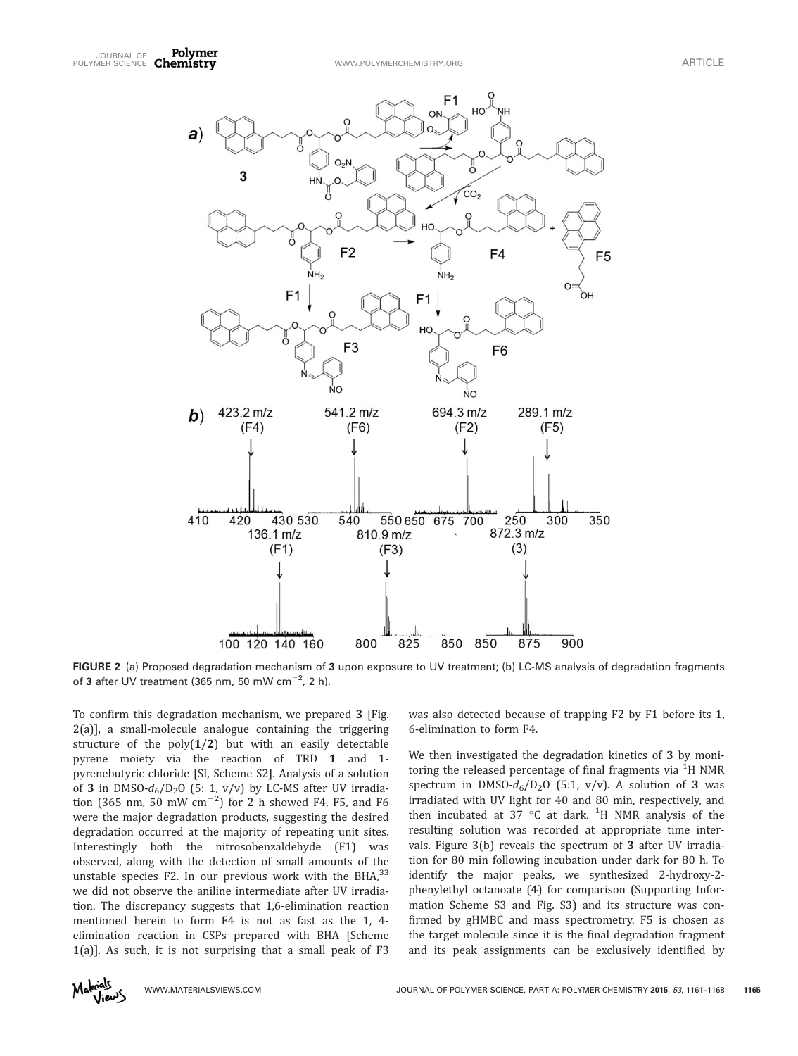

FIGURE 2 (a) Proposed degradation mechanism of 3 upon exposure to UV treatment; (b) LC-MS analysis of degradation fragments of 3 after UV treatment (365 nm, 50 mW cm $^{-2}$ , 2 h).

To confirm this degradation mechanism, we prepared 3 [Fig. 2(a)], a small-molecule analogue containing the triggering structure of the  $poly(1/2)$  but with an easily detectable pyrene moiety via the reaction of TRD 1 and 1 pyrenebutyric chloride [SI, Scheme S2]. Analysis of a solution of 3 in DMSO- $d_6/D_2O$  (5: 1, v/v) by LC-MS after UV irradiation (365 nm, 50 mW  $\text{cm}^{-2}$ ) for 2 h showed F4, F5, and F6 were the major degradation products, suggesting the desired degradation occurred at the majority of repeating unit sites. Interestingly both the nitrosobenzaldehyde (F1) was observed, along with the detection of small amounts of the unstable species F2. In our previous work with the BHA $^{33}$ we did not observe the aniline intermediate after UV irradiation. The discrepancy suggests that 1,6-elimination reaction mentioned herein to form F4 is not as fast as the 1, 4 elimination reaction in CSPs prepared with BHA [Scheme 1(a)]. As such, it is not surprising that a small peak of F3

was also detected because of trapping F2 by F1 before its 1, 6-elimination to form F4.

We then investigated the degradation kinetics of 3 by monitoring the released percentage of final fragments via  $^{\rm 1H}$  NMR spectrum in DMSO- $d_6/D_2O$  (5:1, v/v). A solution of 3 was irradiated with UV light for 40 and 80 min, respectively, and then incubated at  $37 \text{ °C}$  at dark. <sup>1</sup>H NMR analysis of the resulting solution was recorded at appropriate time intervals. Figure 3(b) reveals the spectrum of 3 after UV irradiation for 80 min following incubation under dark for 80 h. To identify the major peaks, we synthesized 2-hydroxy-2 phenylethyl octanoate (4) for comparison (Supporting Information Scheme S3 and Fig. S3) and its structure was confirmed by gHMBC and mass spectrometry. F5 is chosen as the target molecule since it is the final degradation fragment and its peak assignments can be exclusively identified by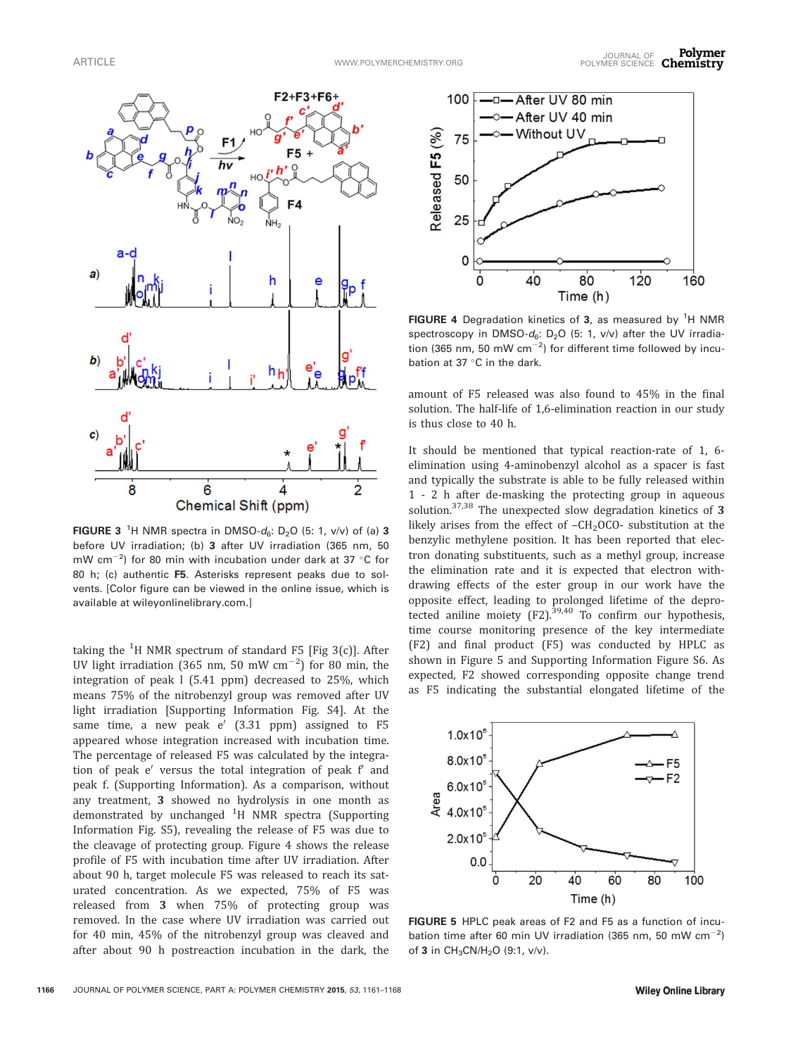

FIGURE 3<sup>1</sup>H NMR spectra in DMSO- $d_6$ : D<sub>2</sub>O (5: 1, v/v) of (a) 3 before UV irradiation; (b) 3 after UV irradiation (365 nm, 50 mW cm<sup>-2</sup>) for 80 min with incubation under dark at 37 °C for 80 h; (c) authentic F5. Asterisks represent peaks due to solvents. [Color figure can be viewed in the online issue, which is available at [wileyonlinelibrary.com.](http://wileyonlinelibrary.com)]

taking the <sup>1</sup>H NMR spectrum of standard F5 [Fig 3(c)]. After UV light irradiation (365 nm, 50 mW  $\text{cm}^{-2}$ ) for 80 min, the integration of peak l (5.41 ppm) decreased to 25%, which means 75% of the nitrobenzyl group was removed after UV light irradiation [Supporting Information Fig. S4]. At the same time, a new peak  $e'$  (3.31 ppm) assigned to F5 appeared whose integration increased with incubation time. The percentage of released F5 was calculated by the integration of peak  $e'$  versus the total integration of peak  $f'$  and peak f. (Supporting Information). As a comparison, without any treatment, 3 showed no hydrolysis in one month as demonstrated by unchanged <sup>1</sup>H NMR spectra (Supporting Information Fig. S5), revealing the release of F5 was due to the cleavage of protecting group. Figure 4 shows the release profile of F5 with incubation time after UV irradiation. After about 90 h, target molecule F5 was released to reach its saturated concentration. As we expected, 75% of F5 was released from 3 when 75% of protecting group was removed. In the case where UV irradiation was carried out for 40 min, 45% of the nitrobenzyl group was cleaved and after about 90 h postreaction incubation in the dark, the



FIGURE 4 Degradation kinetics of 3, as measured by <sup>1</sup>H NMR spectroscopy in DMSO- $d_6$ : D<sub>2</sub>O (5: 1, v/v) after the UV irradiation (365 nm, 50 mW cm $^{-2}$ ) for different time followed by incubation at 37  $\,^{\circ}$ C in the dark.

amount of F5 released was also found to 45% in the final solution. The half-life of 1,6-elimination reaction in our study is thus close to 40 h.

It should be mentioned that typical reaction-rate of 1, 6 elimination using 4-aminobenzyl alcohol as a spacer is fast and typically the substrate is able to be fully released within 1 - 2 h after de-masking the protecting group in aqueous solution.<sup>37,38</sup> The unexpected slow degradation kinetics of 3 likely arises from the effect of  $-CH<sub>2</sub>OCO-$  substitution at the benzylic methylene position. It has been reported that electron donating substituents, such as a methyl group, increase the elimination rate and it is expected that electron withdrawing effects of the ester group in our work have the opposite effect, leading to prolonged lifetime of the deprotected aniline moiety  $(F2)$ .<sup>39,40</sup> To confirm our hypothesis, time course monitoring presence of the key intermediate (F2) and final product (F5) was conducted by HPLC as shown in Figure 5 and Supporting Information Figure S6. As expected, F2 showed corresponding opposite change trend as F5 indicating the substantial elongated lifetime of the



FIGURE 5 HPLC peak areas of F2 and F5 as a function of incubation time after 60 min UV irradiation (365 nm, 50 mW cm $^{-2}$ ) of 3 in  $CH_3CN/H_2O$  (9:1, v/v).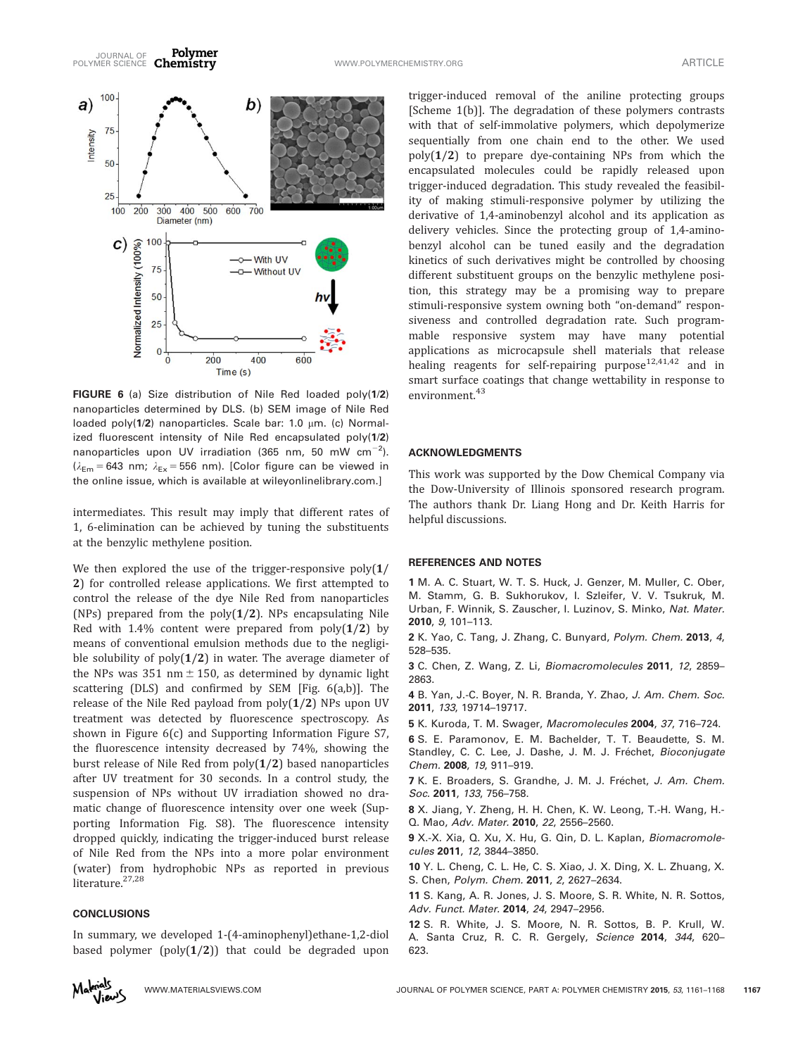

FIGURE 6 (a) Size distribution of Nile Red loaded poly(1/2) nanoparticles determined by DLS. (b) SEM image of Nile Red loaded poly( $1/2$ ) nanoparticles. Scale bar: 1.0  $\mu$ m. (c) Normalized fluorescent intensity of Nile Red encapsulated poly(1/2) nanoparticles upon UV irradiation (365 nm, 50 mW  $cm^{-2}$ ).  $(\lambda_{Em} = 643 \text{ nm}; \lambda_{Ex} = 556 \text{ nm})$ . [Color figure can be viewed in the online issue, which is available at [wileyonlinelibrary.com](http://wileyonlinelibrary.com).]

intermediates. This result may imply that different rates of 1, 6-elimination can be achieved by tuning the substituents at the benzylic methylene position.

We then explored the use of the trigger-responsive  $poly(1/$ 2) for controlled release applications. We first attempted to control the release of the dye Nile Red from nanoparticles (NPs) prepared from the  $poly(1/2)$ . NPs encapsulating Nile Red with 1.4% content were prepared from  $poly(1/2)$  by means of conventional emulsion methods due to the negligible solubility of  $poly(1/2)$  in water. The average diameter of the NPs was 351 nm  $\pm$  150, as determined by dynamic light scattering (DLS) and confirmed by SEM [Fig. 6(a,b)]. The release of the Nile Red payload from  $poly(1/2)$  NPs upon UV treatment was detected by fluorescence spectroscopy. As shown in Figure 6(c) and Supporting Information Figure S7, the fluorescence intensity decreased by 74%, showing the burst release of Nile Red from poly(1/2) based nanoparticles after UV treatment for 30 seconds. In a control study, the suspension of NPs without UV irradiation showed no dramatic change of fluorescence intensity over one week (Supporting Information Fig. S8). The fluorescence intensity dropped quickly, indicating the trigger-induced burst release of Nile Red from the NPs into a more polar environment (water) from hydrophobic NPs as reported in previous literature.<sup>27,28</sup>

## **CONCLUSIONS**

In summary, we developed 1-(4-aminophenyl)ethane-1,2-diol based polymer (poly $(1/2)$ ) that could be degraded upon

trigger-induced removal of the aniline protecting groups [Scheme 1(b)]. The degradation of these polymers contrasts with that of self-immolative polymers, which depolymerize sequentially from one chain end to the other. We used  $poly(1/2)$  to prepare dye-containing NPs from which the encapsulated molecules could be rapidly released upon trigger-induced degradation. This study revealed the feasibility of making stimuli-responsive polymer by utilizing the derivative of 1,4-aminobenzyl alcohol and its application as delivery vehicles. Since the protecting group of 1,4-aminobenzyl alcohol can be tuned easily and the degradation kinetics of such derivatives might be controlled by choosing different substituent groups on the benzylic methylene position, this strategy may be a promising way to prepare stimuli-responsive system owning both "on-demand" responsiveness and controlled degradation rate. Such programmable responsive system may have many potential applications as microcapsule shell materials that release healing reagents for self-repairing purpose $12,41,42$  and in smart surface coatings that change wettability in response to environment.<sup>43</sup>

#### ACKNOWLEDGMENTS

This work was supported by the Dow Chemical Company via the Dow-University of Illinois sponsored research program. The authors thank Dr. Liang Hong and Dr. Keith Harris for helpful discussions.

#### REFERENCES AND NOTES

1 M. A. C. Stuart, W. T. S. Huck, J. Genzer, M. Muller, C. Ober, M. Stamm, G. B. Sukhorukov, I. Szleifer, V. V. Tsukruk, M. Urban, F. Winnik, S. Zauscher, I. Luzinov, S. Minko, Nat. Mater. 2010, 9, 101–113.

2 K. Yao, C. Tang, J. Zhang, C. Bunyard, Polym. Chem. 2013, 4, 528–535.

3 C. Chen, Z. Wang, Z. Li, Biomacromolecules 2011, 12, 2859– 2863.

4 B. Yan, J.-C. Boyer, N. R. Branda, Y. Zhao, J. Am. Chem. Soc. 2011, 133, 19714–19717.

5 K. Kuroda, T. M. Swager, Macromolecules 2004, 37, 716–724.

6 S. E. Paramonov, E. M. Bachelder, T. T. Beaudette, S. M. Standley, C. C. Lee, J. Dashe, J. M. J. Fréchet, Bioconjugate Chem. 2008, 19, 911–919.

7 K. E. Broaders, S. Grandhe, J. M. J. Fréchet, J. Am. Chem. Soc. 2011, 133, 756–758.

8 X. Jiang, Y. Zheng, H. H. Chen, K. W. Leong, T.-H. Wang, H.- Q. Mao, Adv. Mater. 2010, 22, 2556–2560.

9 X.-X. Xia, Q. Xu, X. Hu, G. Qin, D. L. Kaplan, Biomacromolecules 2011, 12, 3844–3850.

10 Y. L. Cheng, C. L. He, C. S. Xiao, J. X. Ding, X. L. Zhuang, X. S. Chen, Polym. Chem. 2011, 2, 2627–2634.

11 S. Kang, A. R. Jones, J. S. Moore, S. R. White, N. R. Sottos, Adv. Funct. Mater. 2014, 24, 2947–2956.

12 S. R. White, J. S. Moore, N. R. Sottos, B. P. Krull, W. A. Santa Cruz, R. C. R. Gergely, Science 2014, 344, 620-623.